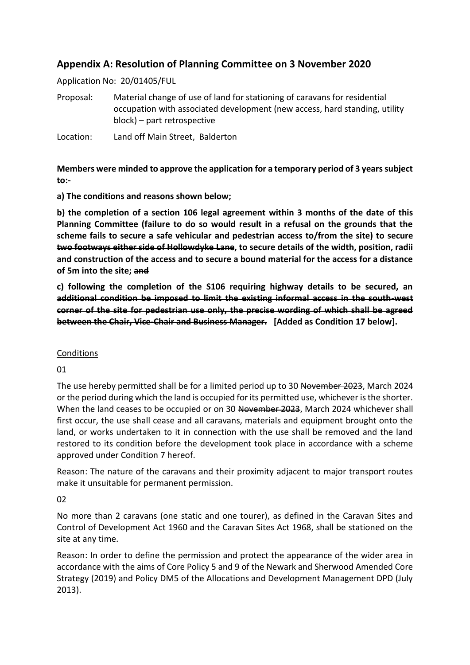# **Appendix A: Resolution of Planning Committee on 3 November 2020**

Application No: 20/01405/FUL

Proposal: Material change of use of land for stationing of caravans for residential occupation with associated development (new access, hard standing, utility block) – part retrospective

Location: Land off Main Street, Balderton

**Members were minded to approve the application for a temporary period of 3 years subject to:-**

**a) The conditions and reasons shown below;** 

**b) the completion of a section 106 legal agreement within 3 months of the date of this Planning Committee (failure to do so would result in a refusal on the grounds that the scheme fails to secure a safe vehicular and pedestrian access to/from the site) to secure two footways either side of Hollowdyke Lane, to secure details of the width, position, radii and construction of the access and to secure a bound material for the access for a distance of 5m into the site; and**

**c) following the completion of the S106 requiring highway details to be secured, an additional condition be imposed to limit the existing informal access in the south-west corner of the site for pedestrian use only, the precise wording of which shall be agreed between the Chair, Vice-Chair and Business Manager. [Added as Condition 17 below].**

#### Conditions

01

The use hereby permitted shall be for a limited period up to 30 November 2023, March 2024 or the period during which the land is occupied for its permitted use, whichever is the shorter. When the land ceases to be occupied or on 30 November 2023, March 2024 whichever shall first occur, the use shall cease and all caravans, materials and equipment brought onto the land, or works undertaken to it in connection with the use shall be removed and the land restored to its condition before the development took place in accordance with a scheme approved under Condition 7 hereof.

Reason: The nature of the caravans and their proximity adjacent to major transport routes make it unsuitable for permanent permission.

02

No more than 2 caravans (one static and one tourer), as defined in the Caravan Sites and Control of Development Act 1960 and the Caravan Sites Act 1968, shall be stationed on the site at any time.

Reason: In order to define the permission and protect the appearance of the wider area in accordance with the aims of Core Policy 5 and 9 of the Newark and Sherwood Amended Core Strategy (2019) and Policy DM5 of the Allocations and Development Management DPD (July 2013).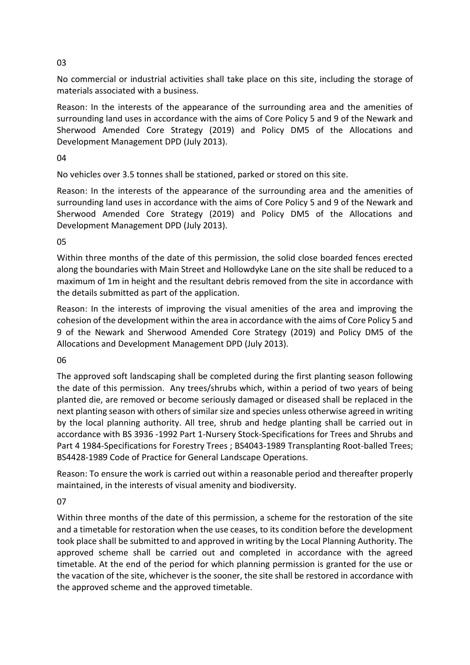No commercial or industrial activities shall take place on this site, including the storage of materials associated with a business.

Reason: In the interests of the appearance of the surrounding area and the amenities of surrounding land uses in accordance with the aims of Core Policy 5 and 9 of the Newark and Sherwood Amended Core Strategy (2019) and Policy DM5 of the Allocations and Development Management DPD (July 2013).

04

No vehicles over 3.5 tonnes shall be stationed, parked or stored on this site.

Reason: In the interests of the appearance of the surrounding area and the amenities of surrounding land uses in accordance with the aims of Core Policy 5 and 9 of the Newark and Sherwood Amended Core Strategy (2019) and Policy DM5 of the Allocations and Development Management DPD (July 2013).

### 05

Within three months of the date of this permission, the solid close boarded fences erected along the boundaries with Main Street and Hollowdyke Lane on the site shall be reduced to a maximum of 1m in height and the resultant debris removed from the site in accordance with the details submitted as part of the application.

Reason: In the interests of improving the visual amenities of the area and improving the cohesion of the development within the area in accordance with the aims of Core Policy 5 and 9 of the Newark and Sherwood Amended Core Strategy (2019) and Policy DM5 of the Allocations and Development Management DPD (July 2013).

## 06

The approved soft landscaping shall be completed during the first planting season following the date of this permission. Any trees/shrubs which, within a period of two years of being planted die, are removed or become seriously damaged or diseased shall be replaced in the next planting season with others of similar size and species unless otherwise agreed in writing by the local planning authority. All tree, shrub and hedge planting shall be carried out in accordance with BS 3936 -1992 Part 1-Nursery Stock-Specifications for Trees and Shrubs and Part 4 1984-Specifications for Forestry Trees ; BS4043-1989 Transplanting Root-balled Trees; BS4428-1989 Code of Practice for General Landscape Operations.

Reason: To ensure the work is carried out within a reasonable period and thereafter properly maintained, in the interests of visual amenity and biodiversity.

07

Within three months of the date of this permission, a scheme for the restoration of the site and a timetable for restoration when the use ceases, to its condition before the development took place shall be submitted to and approved in writing by the Local Planning Authority. The approved scheme shall be carried out and completed in accordance with the agreed timetable. At the end of the period for which planning permission is granted for the use or the vacation of the site, whichever is the sooner, the site shall be restored in accordance with the approved scheme and the approved timetable.

#### 03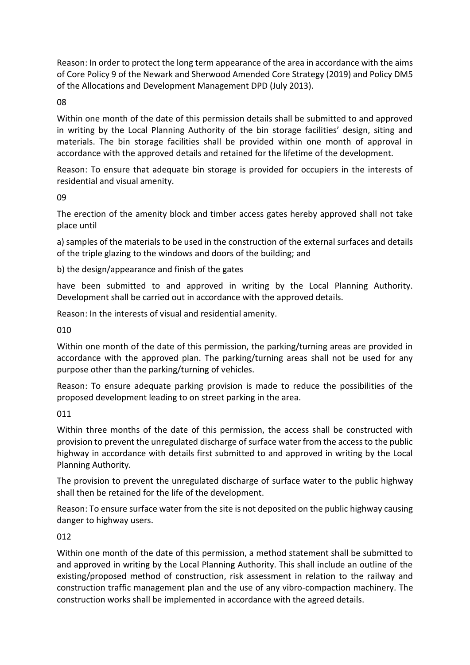Reason: In order to protect the long term appearance of the area in accordance with the aims of Core Policy 9 of the Newark and Sherwood Amended Core Strategy (2019) and Policy DM5 of the Allocations and Development Management DPD (July 2013).

#### 08

Within one month of the date of this permission details shall be submitted to and approved in writing by the Local Planning Authority of the bin storage facilities' design, siting and materials. The bin storage facilities shall be provided within one month of approval in accordance with the approved details and retained for the lifetime of the development.

Reason: To ensure that adequate bin storage is provided for occupiers in the interests of residential and visual amenity.

#### 09

The erection of the amenity block and timber access gates hereby approved shall not take place until

a) samples of the materials to be used in the construction of the external surfaces and details of the triple glazing to the windows and doors of the building; and

b) the design/appearance and finish of the gates

have been submitted to and approved in writing by the Local Planning Authority. Development shall be carried out in accordance with the approved details.

Reason: In the interests of visual and residential amenity.

010

Within one month of the date of this permission, the parking/turning areas are provided in accordance with the approved plan. The parking/turning areas shall not be used for any purpose other than the parking/turning of vehicles.

Reason: To ensure adequate parking provision is made to reduce the possibilities of the proposed development leading to on street parking in the area.

#### 011

Within three months of the date of this permission, the access shall be constructed with provision to prevent the unregulated discharge of surface water from the access to the public highway in accordance with details first submitted to and approved in writing by the Local Planning Authority.

The provision to prevent the unregulated discharge of surface water to the public highway shall then be retained for the life of the development.

Reason: To ensure surface water from the site is not deposited on the public highway causing danger to highway users.

#### 012

Within one month of the date of this permission, a method statement shall be submitted to and approved in writing by the Local Planning Authority. This shall include an outline of the existing/proposed method of construction, risk assessment in relation to the railway and construction traffic management plan and the use of any vibro-compaction machinery. The construction works shall be implemented in accordance with the agreed details.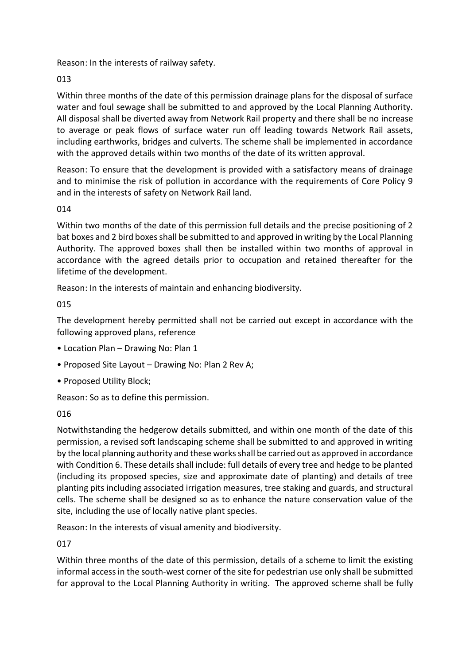Reason: In the interests of railway safety.

## 013

Within three months of the date of this permission drainage plans for the disposal of surface water and foul sewage shall be submitted to and approved by the Local Planning Authority. All disposal shall be diverted away from Network Rail property and there shall be no increase to average or peak flows of surface water run off leading towards Network Rail assets, including earthworks, bridges and culverts. The scheme shall be implemented in accordance with the approved details within two months of the date of its written approval.

Reason: To ensure that the development is provided with a satisfactory means of drainage and to minimise the risk of pollution in accordance with the requirements of Core Policy 9 and in the interests of safety on Network Rail land.

### 014

Within two months of the date of this permission full details and the precise positioning of 2 bat boxes and 2 bird boxes shall be submitted to and approved in writing by the Local Planning Authority. The approved boxes shall then be installed within two months of approval in accordance with the agreed details prior to occupation and retained thereafter for the lifetime of the development.

Reason: In the interests of maintain and enhancing biodiversity.

## 015

The development hereby permitted shall not be carried out except in accordance with the following approved plans, reference

- Location Plan Drawing No: Plan 1
- Proposed Site Layout Drawing No: Plan 2 Rev A;
- Proposed Utility Block;

Reason: So as to define this permission.

## 016

Notwithstanding the hedgerow details submitted, and within one month of the date of this permission, a revised soft landscaping scheme shall be submitted to and approved in writing by the local planning authority and these works shall be carried out as approved in accordance with Condition 6. These details shall include: full details of every tree and hedge to be planted (including its proposed species, size and approximate date of planting) and details of tree planting pits including associated irrigation measures, tree staking and guards, and structural cells. The scheme shall be designed so as to enhance the nature conservation value of the site, including the use of locally native plant species.

Reason: In the interests of visual amenity and biodiversity.

017

Within three months of the date of this permission, details of a scheme to limit the existing informal access in the south-west corner of the site for pedestrian use only shall be submitted for approval to the Local Planning Authority in writing. The approved scheme shall be fully